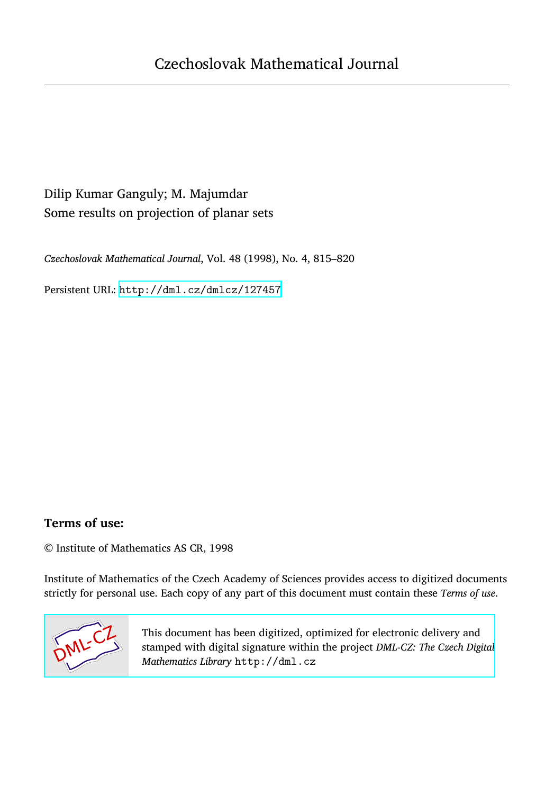# Dilip Kumar Ganguly; M. Majumdar Some results on projection of planar sets

*Czechoslovak Mathematical Journal*, Vol. 48 (1998), No. 4, 815–820

Persistent URL: <http://dml.cz/dmlcz/127457>

## **Terms of use:**

© Institute of Mathematics AS CR, 1998

Institute of Mathematics of the Czech Academy of Sciences provides access to digitized documents strictly for personal use. Each copy of any part of this document must contain these *Terms of use*.



[This document has been digitized, optimized for electronic delivery and](http://dml.cz) stamped with digital signature within the project *DML-CZ: The Czech Digital Mathematics Library* http://dml.cz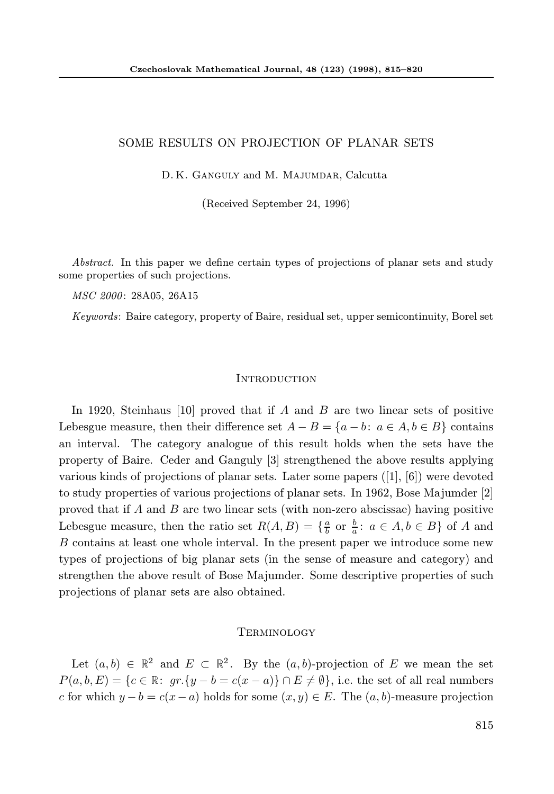### SOME RESULTS ON PROJECTION OF PLANAR SETS

D. K. Ganguly and M. Majumdar, Calcutta

(Received September 24, 1996)

Abstract. In this paper we define certain types of projections of planar sets and study some properties of such projections.

MSC 2000: 28A05, 26A15

Keywords: Baire category, property of Baire, residual set, upper semicontinuity, Borel set

#### **INTRODUCTION**

In 1920, Steinhaus [10] proved that if A and B are two linear sets of positive Lebesgue measure, then their difference set  $A - B = \{a - b : a \in A, b \in B\}$  contains an interval. The category analogue of this result holds when the sets have the property of Baire. Ceder and Ganguly [3] strengthened the above results applying various kinds of projections of planar sets. Later some papers ([1], [6]) were devoted to study properties of various projections of planar sets. In 1962, Bose Majumder [2] proved that if A and B are two linear sets (with non-zero abscissae) having positive Lebesgue measure, then the ratio set  $R(A, B) = \{\frac{a}{b}$  or  $\frac{b}{a} : a \in A, b \in B\}$  of A and B contains at least one whole interval. In the present paper we introduce some new types of projections of big planar sets (in the sense of measure and category) and strengthen the above result of Bose Majumder. Some descriptive properties of such projections of planar sets are also obtained.

#### **TERMINOLOGY**

Let  $(a, b) \in \mathbb{R}^2$  and  $E \subset \mathbb{R}^2$ . By the  $(a, b)$ -projection of E we mean the set  $P(a, b, E) = \{c \in \mathbb{R}: gr. \{y - b = c(x - a)\} \cap E \neq \emptyset\},\$ i.e. the set of all real numbers c for which  $y - b = c(x - a)$  holds for some  $(x, y) \in E$ . The  $(a, b)$ -measure projection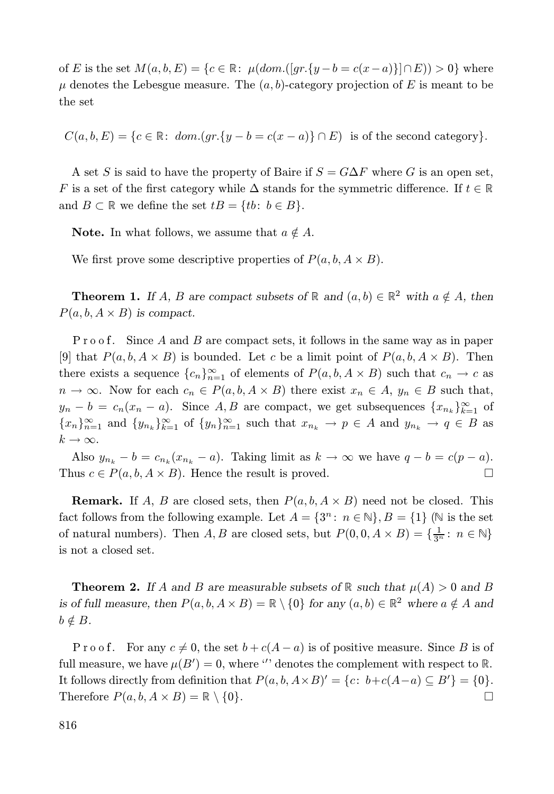of E is the set  $M(a, b, E) = \{c \in \mathbb{R} : \mu(dom.([gr.\{y - b = c(x - a)\}] \cap E)) > 0\}$  where  $\mu$  denotes the Lebesgue measure. The  $(a, b)$ -category projection of E is meant to be the set

 $C(a, b, E) = \{c \in \mathbb{R}: dom.(gr.\{y - b = c(x - a)\} \cap E)$  is of the second category.

A set S is said to have the property of Baire if  $S = G \Delta F$  where G is an open set, F is a set of the first category while  $\Delta$  stands for the symmetric difference. If  $t \in \mathbb{R}$ and  $B \subset \mathbb{R}$  we define the set  $tB = \{tb : b \in B\}.$ 

**Note.** In what follows, we assume that  $a \notin A$ .

We first prove some descriptive properties of  $P(a, b, A \times B)$ .

**Theorem 1.** If A, B are compact subsets of  $\mathbb{R}$  and  $(a, b) \in \mathbb{R}^2$  with  $a \notin A$ , then  $P(a, b, A \times B)$  is compact.

P r o of. Since A and B are compact sets, it follows in the same way as in paper [9] that  $P(a, b, A \times B)$  is bounded. Let c be a limit point of  $P(a, b, A \times B)$ . Then there exists a sequence  ${c_n}_{n=1}^{\infty}$  of elements of  $P(a, b, A \times B)$  such that  $c_n \to c$  as  $n \to \infty$ . Now for each  $c_n \in P(a, b, A \times B)$  there exist  $x_n \in A$ ,  $y_n \in B$  such that,  $y_n - b = c_n(x_n - a)$ . Since A, B are compact, we get subsequences  $\{x_{n_k}\}_{k=1}^{\infty}$  of  ${x_n}_{n=1}^{\infty}$  and  ${y_{n_k}}_{k=1}^{\infty}$  of  ${y_n}_{n=1}^{\infty}$  such that  $x_{n_k} \to p \in A$  and  $y_{n_k} \to q \in B$  as  $k \to \infty$ .

Also  $y_{n_k} - b = c_{n_k} (x_{n_k} - a)$ . Taking limit as  $k \to \infty$  we have  $q - b = c(p - a)$ . Thus  $c \in P(a, b, A \times B)$ . Hence the result is proved.

**Remark.** If A, B are closed sets, then  $P(a, b, A \times B)$  need not be closed. This fact follows from the following example. Let  $A = \{3^n : n \in \mathbb{N}\}, B = \{1\}$  ( $\mathbb N$  is the set of natural numbers). Then  $A, B$  are closed sets, but  $P(0, 0, A \times B) = \{\frac{1}{3^n} : n \in \mathbb{N}\}\$ is not a closed set.

**Theorem 2.** If A and B are measurable subsets of  $\mathbb R$  such that  $\mu(A) > 0$  and B is of full measure, then  $P(a, b, A \times B) = \mathbb{R} \setminus \{0\}$  for any  $(a, b) \in \mathbb{R}^2$  where  $a \notin A$  and  $b \notin B$ .

P r o o f. For any  $c \neq 0$ , the set  $b + c(A - a)$  is of positive measure. Since B is of full measure, we have  $\mu(B') = 0$ , where '' denotes the complement with respect to R. It follows directly from definition that  $P(a, b, A \times B)' = \{c: b+c(A-a) \subseteq B'\} = \{0\}.$ Therefore  $P(a, b, A \times B) = \mathbb{R} \setminus \{0\}.$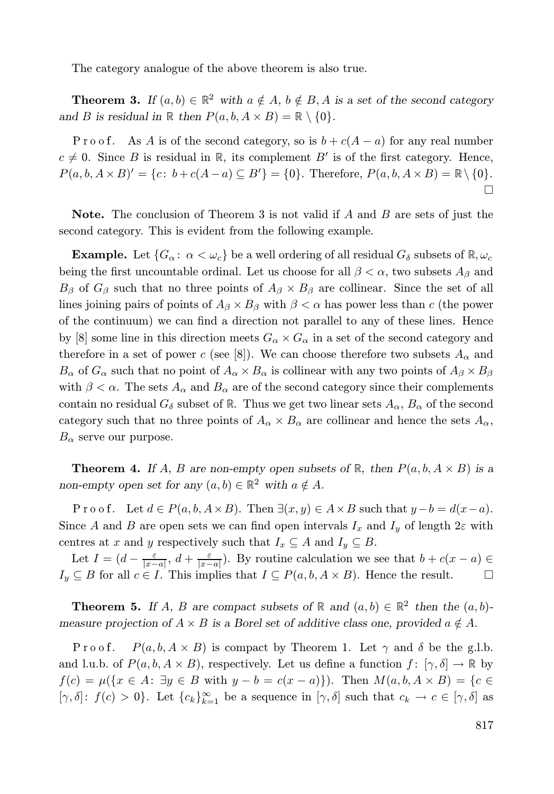The category analogue of the above theorem is also true.

**Theorem 3.** If  $(a, b) \in \mathbb{R}^2$  with  $a \notin A$ ,  $b \notin B$ , A is a set of the second category and B is residual in  $\mathbb R$  then  $P(a, b, A \times B) = \mathbb R \setminus \{0\}.$ 

P r o o f. As A is of the second category, so is  $b + c(A - a)$  for any real number  $c \neq 0$ . Since B is residual in R, its complement B' is of the first category. Hence,  $P(a, b, A \times B)' = \{c \colon b + c(A - a) \subseteq B'\} = \{0\}.$  Therefore,  $P(a, b, A \times B) = \mathbb{R} \setminus \{0\}.$  $\Box$ 

**Note.** The conclusion of Theorem 3 is not valid if  $A$  and  $B$  are sets of just the second category. This is evident from the following example.

**Example.** Let  $\{G_\alpha : \alpha < \omega_c\}$  be a well ordering of all residual  $G_\delta$  subsets of  $\mathbb{R}, \omega_c$ being the first uncountable ordinal. Let us choose for all  $\beta < \alpha$ , two subsets  $A_{\beta}$  and  $B_\beta$  of  $G_\beta$  such that no three points of  $A_\beta \times B_\beta$  are collinear. Since the set of all lines joining pairs of points of  $A_\beta \times B_\beta$  with  $\beta < \alpha$  has power less than c (the power of the continuum) we can find a direction not parallel to any of these lines. Hence by [8] some line in this direction meets  $G_{\alpha} \times G_{\alpha}$  in a set of the second category and therefore in a set of power c (see [8]). We can choose therefore two subsets  $A_{\alpha}$  and  $B_{\alpha}$  of  $G_{\alpha}$  such that no point of  $A_{\alpha} \times B_{\alpha}$  is collinear with any two points of  $A_{\beta} \times B_{\beta}$ with  $\beta < \alpha$ . The sets  $A_{\alpha}$  and  $B_{\alpha}$  are of the second category since their complements contain no residual  $G_{\delta}$  subset of R. Thus we get two linear sets  $A_{\alpha}, B_{\alpha}$  of the second category such that no three points of  $A_{\alpha} \times B_{\alpha}$  are collinear and hence the sets  $A_{\alpha}$ ,  $B_{\alpha}$  serve our purpose.

**Theorem 4.** If A, B are non-empty open subsets of R, then  $P(a, b, A \times B)$  is a non-empty open set for any  $(a, b) \in \mathbb{R}^2$  with  $a \notin A$ .

Proof. Let  $d \in P(a, b, A \times B)$ . Then  $\exists (x, y) \in A \times B$  such that  $y - b = d(x - a)$ . Since A and B are open sets we can find open intervals  $I_x$  and  $I_y$  of length  $2\varepsilon$  with centres at x and y respectively such that  $I_x \subseteq A$  and  $I_y \subseteq B$ .

Let  $I = (d - \frac{\varepsilon}{|x-a|}, d + \frac{\varepsilon}{|x-a|})$ . By routine calculation we see that  $b + c(x - a) \in$  $I_y \subseteq B$  for all  $c \in I$ . This implies that  $I \subseteq P(a, b, A \times B)$ . Hence the result.  $\Box$ 

**Theorem 5.** If A, B are compact subsets of  $\mathbb{R}$  and  $(a, b) \in \mathbb{R}^2$  then the  $(a, b)$ measure projection of  $A \times B$  is a Borel set of additive class one, provided  $a \notin A$ .

 $P(a, b, A \times B)$  is compact by Theorem 1. Let  $\gamma$  and  $\delta$  be the g.l.b. and l.u.b. of  $P(a,b,A\times B)$ , respectively. Let us define a function  $f: [\gamma,\delta] \to \mathbb{R}$  by  $f(c) = \mu(\{x \in A: \exists y \in B \text{ with } y - b = c(x - a)\})$ . Then  $M(a, b, A \times B) = \{c \in A\}$  $[\gamma, \delta]$ :  $f(c) > 0$ . Let  $\{c_k\}_{k=1}^{\infty}$  be a sequence in  $[\gamma, \delta]$  such that  $c_k \to c \in [\gamma, \delta]$  as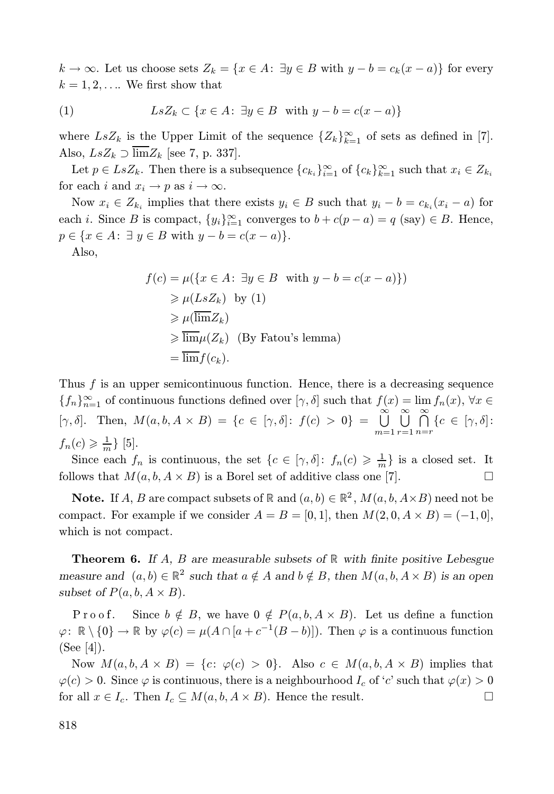$k \to \infty$ . Let us choose sets  $Z_k = \{x \in A: \exists y \in B \text{ with } y - b = c_k(x - a)\}\)$  for every  $k = 1, 2, \ldots$  We first show that

(1) 
$$
LsZ_k \subset \{x \in A : \exists y \in B \text{ with } y - b = c(x - a)\}
$$

where  $LsZ_k$  is the Upper Limit of the sequence  $\{Z_k\}_{k=1}^{\infty}$  of sets as defined in [7]. Also,  $LsZ_k \supset \overline{\lim}Z_k$  [see 7, p. 337].

Let  $p \in LsZ_k$ . Then there is a subsequence  ${c_{k_i}}_{i=1}^{\infty}$  of  ${c_k}_{k=1}^{\infty}$  such that  $x_i \in Z_{k_i}$ for each i and  $x_i \rightarrow p$  as  $i \rightarrow \infty$ .

Now  $x_i \in Z_{k_i}$  implies that there exists  $y_i \in B$  such that  $y_i - b = c_{k_i}(x_i - a)$  for each *i*. Since *B* is compact,  $\{y_i\}_{i=1}^{\infty}$  converges to  $b + c(p - a) = q$  (say)  $\in B$ . Hence,  $p \in \{x \in A: \exists y \in B \text{ with } y - b = c(x - a)\}.$ 

Also,

$$
f(c) = \mu(\{x \in A : \exists y \in B \text{ with } y - b = c(x - a)\})
$$
  
\n
$$
\geq \mu(LsZ_k) \text{ by (1)}
$$
  
\n
$$
\geq \mu(\overline{\lim}Z_k)
$$
  
\n
$$
\geq \overline{\lim} \mu(Z_k) \text{ (By Fatou's lemma)}
$$
  
\n
$$
= \overline{\lim} f(c_k).
$$

Thus  $f$  is an upper semicontinuous function. Hence, there is a decreasing sequence  ${f_n}_{n=1}^{\infty}$  of continuous functions defined over  $[\gamma, \delta]$  such that  $f(x) = \lim_{n \to \infty} f_n(x)$ ,  $\forall x \in$ [ $\gamma, \delta$ ]. Then,  $M(a, b, A \times B) = \{c \in [\gamma, \delta] : f(c) > 0\} = \bigcup_{i=1}^{\infty}$  $m=1$ ∞<br>∐  $r=1$ - ∞  $\bigcap_{n=r} \{c \in [\gamma, \delta]:$  $f_n(c) \geqslant \frac{1}{m}$ } [5].

Since each  $f_n$  is continuous, the set  $\{c \in [\gamma, \delta] : f_n(c) \geq \frac{1}{m}\}\$ is a closed set. It follows that  $M(a, b, A \times B)$  is a Borel set of additive class one [7].

**Note.** If A, B are compact subsets of  $\mathbb{R}$  and  $(a, b) \in \mathbb{R}^2$ ,  $M(a, b, A \times B)$  need not be compact. For example if we consider  $A = B = [0, 1]$ , then  $M(2, 0, A \times B) = (-1, 0]$ , which is not compact.

**Theorem 6.** If A, B are measurable subsets of  $\mathbb{R}$  with finite positive Lebesgue measure and  $(a, b) \in \mathbb{R}^2$  such that  $a \notin A$  and  $b \notin B$ , then  $M(a, b, A \times B)$  is an open subset of  $P(a, b, A \times B)$ .

Proof. Since  $b \notin B$ , we have  $0 \notin P(a, b, A \times B)$ . Let us define a function  $\varphi: \mathbb{R} \setminus \{0\} \to \mathbb{R}$  by  $\varphi(c) = \mu(A \cap [a+c^{-1}(B-b)]).$  Then  $\varphi$  is a continuous function (See [4]).

Now  $M(a,b,A\times B) = \{c: \varphi(c) > 0\}.$  Also  $c \in M(a,b,A\times B)$  implies that  $\varphi(c) > 0$ . Since  $\varphi$  is continuous, there is a neighbourhood  $I_c$  of 'c' such that  $\varphi(x) > 0$ for all  $x \in I_c$ . Then  $I_c \subseteq M(a, b, A \times B)$ . Hence the result.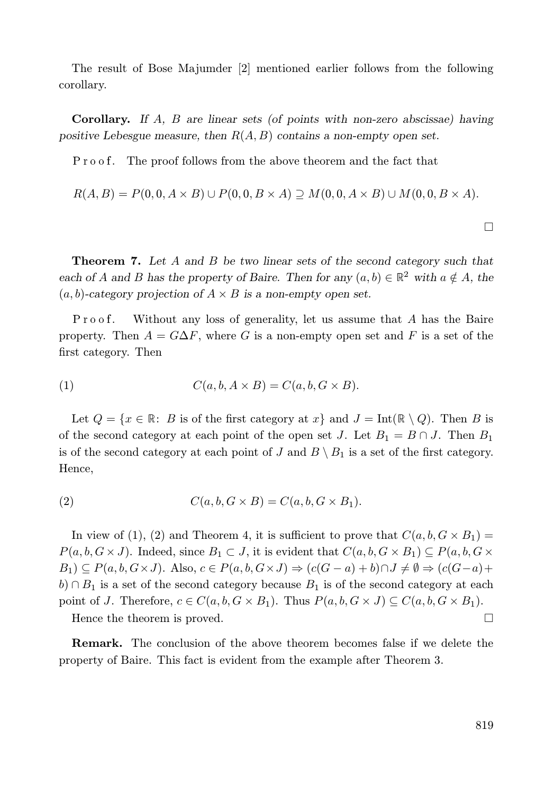The result of Bose Majumder [2] mentioned earlier follows from the following corollary.

**Corollary.** If  $A$ ,  $B$  are linear sets (of points with non-zero abscissae) having positive Lebesgue measure, then  $R(A, B)$  contains a non-empty open set.

Proof. The proof follows from the above theorem and the fact that

$$
R(A, B) = P(0, 0, A \times B) \cup P(0, 0, B \times A) \supseteq M(0, 0, A \times B) \cup M(0, 0, B \times A).
$$

 $\Box$ 

Theorem 7. Let A and B be two linear sets of the second category such that each of A and B has the property of Baire. Then for any  $(a, b) \in \mathbb{R}^2$  with  $a \notin A$ , the  $(a, b)$ -category projection of  $A \times B$  is a non-empty open set.

Without any loss of generality, let us assume that  $A$  has the Baire property. Then  $A = G\Delta F$ , where G is a non-empty open set and F is a set of the first category. Then

(1) 
$$
C(a, b, A \times B) = C(a, b, G \times B).
$$

Let  $Q = \{x \in \mathbb{R}: B \text{ is of the first category at } x\}$  and  $J = \text{Int}(\mathbb{R} \setminus Q)$ . Then B is of the second category at each point of the open set J. Let  $B_1 = B \cap J$ . Then  $B_1$ is of the second category at each point of J and  $B \setminus B_1$  is a set of the first category. Hence,

(2) 
$$
C(a, b, G \times B) = C(a, b, G \times B_1).
$$

In view of (1), (2) and Theorem 4, it is sufficient to prove that  $C(a, b, G \times B_1)$  =  $P(a,b,G\times J)$ . Indeed, since  $B_1\subset J$ , it is evident that  $C(a,b,G\times B_1)\subseteq P(a,b,G\times J)$ .  $B_1) \subseteq P(a, b, G \times J)$ . Also,  $c \in P(a, b, G \times J) \Rightarrow (c(G - a) + b) \cap J \neq \emptyset \Rightarrow (c(G - a) + b) \cap J \neq \emptyset$  $b) \cap B_1$  is a set of the second category because  $B_1$  is of the second category at each point of J. Therefore,  $c \in C(a, b, G \times B_1)$ . Thus  $P(a, b, G \times J) \subseteq C(a, b, G \times B_1)$ .

Hence the theorem is proved.

Remark. The conclusion of the above theorem becomes false if we delete the property of Baire. This fact is evident from the example after Theorem 3.